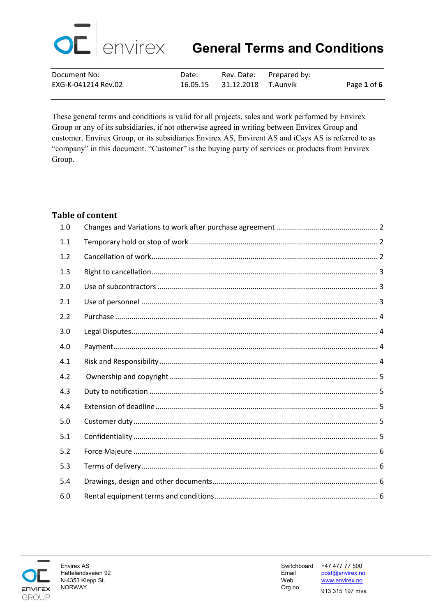

| Document No:        | Date: |                              | Rev. Date: Prepared by: |             |
|---------------------|-------|------------------------------|-------------------------|-------------|
| EXG-K-041214 Rev.02 |       | 16.05.15 31.12.2018 T.Aunvik |                         | Page 1 of 6 |

These general terms and conditions is valid for all projects, sales and work performed by Envirex Group or any of its subsidiaries, if not otherwise agreed in writing between Envirex Group and customer. Envirex Group, or its subsidiaries Envirex AS, Envirent AS and iCsys AS is referred to as "company" in this document. "Customer" is the buying party of services or products from Envirex Group.

## **Table of content**

| 1.0 |  |
|-----|--|
| 1.1 |  |
| 1.2 |  |
| 1.3 |  |
| 2.0 |  |
| 2.1 |  |
| 2.2 |  |
| 3.0 |  |
| 4.0 |  |
| 4.1 |  |
| 4.2 |  |
| 4.3 |  |
| 4.4 |  |
| 5.0 |  |
| 5.1 |  |
| 5.2 |  |
| 5.3 |  |
| 5.4 |  |
| 6.0 |  |

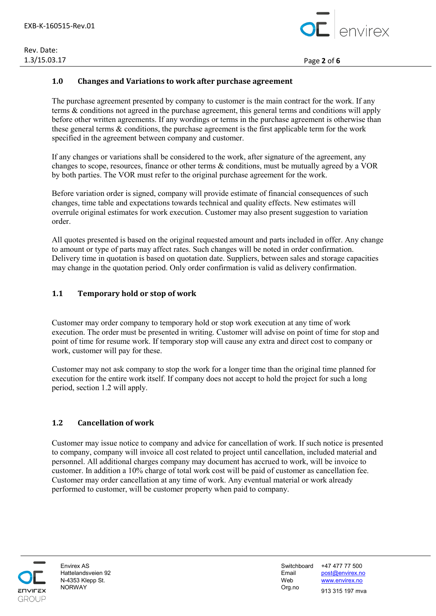

1.3/15.03.17 Page **2** of **6**

#### <span id="page-1-0"></span>**1.0 Changes and Variations to work after purchase agreement**

The purchase agreement presented by company to customer is the main contract for the work. If any terms & conditions not agreed in the purchase agreement, this general terms and conditions will apply before other written agreements. If any wordings or terms in the purchase agreement is otherwise than these general terms & conditions, the purchase agreement is the first applicable term for the work specified in the agreement between company and customer.

If any changes or variations shall be considered to the work, after signature of the agreement, any changes to scope, resources, finance or other terms & conditions, must be mutually agreed by a VOR by both parties. The VOR must refer to the original purchase agreement for the work.

Before variation order is signed, company will provide estimate of financial consequences of such changes, time table and expectations towards technical and quality effects. New estimates will overrule original estimates for work execution. Customer may also present suggestion to variation order.

All quotes presented is based on the original requested amount and parts included in offer. Any change to amount or type of parts may affect rates. Such changes will be noted in order confirmation. Delivery time in quotation is based on quotation date. Suppliers, between sales and storage capacities may change in the quotation period. Only order confirmation is valid as delivery confirmation.

## <span id="page-1-1"></span>**1.1 Temporary hold or stop of work**

Customer may order company to temporary hold or stop work execution at any time of work execution. The order must be presented in writing. Customer will advise on point of time for stop and point of time for resume work. If temporary stop will cause any extra and direct cost to company or work, customer will pay for these.

Customer may not ask company to stop the work for a longer time than the original time planned for execution for the entire work itself. If company does not accept to hold the project for such a long period, section 1.2 will apply.

#### <span id="page-1-2"></span>**1.2 Cancellation of work**

Customer may issue notice to company and advice for cancellation of work. If such notice is presented to company, company will invoice all cost related to project until cancellation, included material and personnel. All additional charges company may document has accrued to work, will be invoice to customer. In addition a 10% charge of total work cost will be paid of customer as cancellation fee. Customer may order cancellation at any time of work. Any eventual material or work already performed to customer, will be customer property when paid to company.

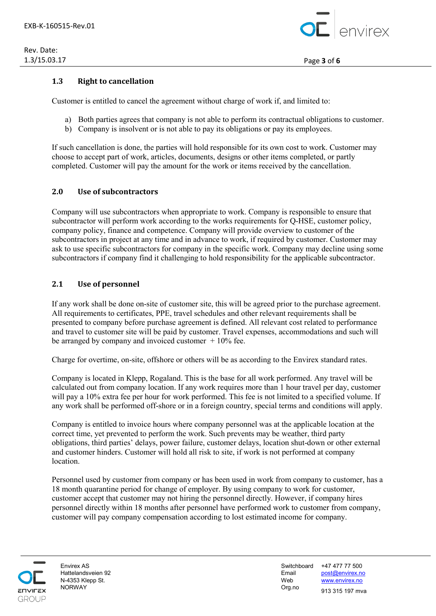

## <span id="page-2-0"></span>**1.3 Right to cancellation**

Customer is entitled to cancel the agreement without charge of work if, and limited to:

- a) Both parties agrees that company is not able to perform its contractual obligations to customer.
- b) Company is insolvent or is not able to pay its obligations or pay its employees.

If such cancellation is done, the parties will hold responsible for its own cost to work. Customer may choose to accept part of work, articles, documents, designs or other items completed, or partly completed. Customer will pay the amount for the work or items received by the cancellation.

#### <span id="page-2-1"></span>**2.0 Use of subcontractors**

Company will use subcontractors when appropriate to work. Company is responsible to ensure that subcontractor will perform work according to the works requirements for Q-HSE, customer policy, company policy, finance and competence. Company will provide overview to customer of the subcontractors in project at any time and in advance to work, if required by customer. Customer may ask to use specific subcontractors for company in the specific work. Company may decline using some subcontractors if company find it challenging to hold responsibility for the applicable subcontractor.

#### <span id="page-2-2"></span>**2.1 Use of personnel**

If any work shall be done on-site of customer site, this will be agreed prior to the purchase agreement. All requirements to certificates, PPE, travel schedules and other relevant requirements shall be presented to company before purchase agreement is defined. All relevant cost related to performance and travel to customer site will be paid by customer. Travel expenses, accommodations and such will be arranged by company and invoiced customer  $+10\%$  fee.

Charge for overtime, on-site, offshore or others will be as according to the Envirex standard rates.

Company is located in Klepp, Rogaland. This is the base for all work performed. Any travel will be calculated out from company location. If any work requires more than 1 hour travel per day, customer will pay a 10% extra fee per hour for work performed. This fee is not limited to a specified volume. If any work shall be performed off-shore or in a foreign country, special terms and conditions will apply.

Company is entitled to invoice hours where company personnel was at the applicable location at the correct time, yet prevented to perform the work. Such prevents may be weather, third party obligations, third parties' delays, power failure, customer delays, location shut-down or other external and customer hinders. Customer will hold all risk to site, if work is not performed at company location.

Personnel used by customer from company or has been used in work from company to customer, has a 18 month quarantine period for change of employer. By using company to work for customer, customer accept that customer may not hiring the personnel directly. However, if company hires personnel directly within 18 months after personnel have performed work to customer from company, customer will pay company compensation according to lost estimated income for company.



Envirex AS Switchboard +47 477 77 500 Hattelandsveien 92 Email [post@envirex.no](mailto:post@envirex.no) N-4353 Klepp St. Web [www.envirex.no](http://www.envirex.no/) NORWAY Org.no <sup>913</sup> 315 197 mva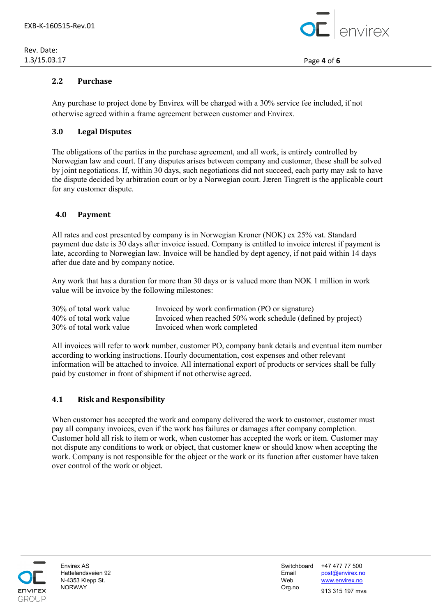# Rev. Date:



## <span id="page-3-0"></span>**2.2 Purchase**

Any purchase to project done by Envirex will be charged with a 30% service fee included, if not otherwise agreed within a frame agreement between customer and Envirex.

## <span id="page-3-1"></span>**3.0 Legal Disputes**

The obligations of the parties in the purchase agreement, and all work, is entirely controlled by Norwegian law and court. If any disputes arises between company and customer, these shall be solved by joint negotiations. If, within 30 days, such negotiations did not succeed, each party may ask to have the dispute decided by arbitration court or by a Norwegian court. Jæren Tingrett is the applicable court for any customer dispute.

## <span id="page-3-2"></span> **4.0 Payment**

All rates and cost presented by company is in Norwegian Kroner (NOK) ex 25% vat. Standard payment due date is 30 days after invoice issued. Company is entitled to invoice interest if payment is late, according to Norwegian law. Invoice will be handled by dept agency, if not paid within 14 days after due date and by company notice.

Any work that has a duration for more than 30 days or is valued more than NOK 1 million in work value will be invoice by the following milestones:

| 30% of total work value | Invoiced by work confirmation (PO or signature)              |
|-------------------------|--------------------------------------------------------------|
| 40% of total work value | Invoiced when reached 50% work schedule (defined by project) |
| 30% of total work value | Invoiced when work completed                                 |

All invoices will refer to work number, customer PO, company bank details and eventual item number according to working instructions. Hourly documentation, cost expenses and other relevant information will be attached to invoice. All international export of products or services shall be fully paid by customer in front of shipment if not otherwise agreed.

## <span id="page-3-3"></span>**4.1 Risk and Responsibility**

When customer has accepted the work and company delivered the work to customer, customer must pay all company invoices, even if the work has failures or damages after company completion. Customer hold all risk to item or work, when customer has accepted the work or item. Customer may not dispute any conditions to work or object, that customer knew or should know when accepting the work. Company is not responsible for the object or the work or its function after customer have taken over control of the work or object.



Envirex AS Switchboard +47 477 77 500 Hattelandsveien 92 Email [post@envirex.no](mailto:post@envirex.no) N-4353 Klepp St. Web [www.envirex.no](http://www.envirex.no/) NORWAY Org.no <sup>913</sup> 315 197 mva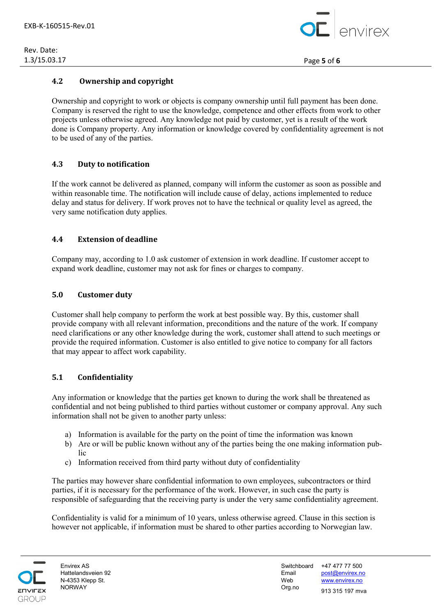

## <span id="page-4-0"></span>**4.2 Ownership and copyright**

Ownership and copyright to work or objects is company ownership until full payment has been done. Company is reserved the right to use the knowledge, competence and other effects from work to other projects unless otherwise agreed. Any knowledge not paid by customer, yet is a result of the work done is Company property. Any information or knowledge covered by confidentiality agreement is not to be used of any of the parties.

# <span id="page-4-1"></span>**4.3 Duty to notification**

If the work cannot be delivered as planned, company will inform the customer as soon as possible and within reasonable time. The notification will include cause of delay, actions implemented to reduce delay and status for delivery. If work proves not to have the technical or quality level as agreed, the very same notification duty applies.

## <span id="page-4-2"></span>**4.4 Extension of deadline**

Company may, according to 1.0 ask customer of extension in work deadline. If customer accept to expand work deadline, customer may not ask for fines or charges to company.

## <span id="page-4-3"></span>**5.0 Customer duty**

Customer shall help company to perform the work at best possible way. By this, customer shall provide company with all relevant information, preconditions and the nature of the work. If company need clarifications or any other knowledge during the work, customer shall attend to such meetings or provide the required information. Customer is also entitled to give notice to company for all factors that may appear to affect work capability.

# <span id="page-4-4"></span>**5.1 Confidentiality**

Any information or knowledge that the parties get known to during the work shall be threatened as confidential and not being published to third parties without customer or company approval. Any such information shall not be given to another party unless:

- a) Information is available for the party on the point of time the information was known
- b) Are or will be public known without any of the parties being the one making information public
- c) Information received from third party without duty of confidentiality

The parties may however share confidential information to own employees, subcontractors or third parties, if it is necessary for the performance of the work. However, in such case the party is responsible of safeguarding that the receiving party is under the very same confidentiality agreement.

Confidentiality is valid for a minimum of 10 years, unless otherwise agreed. Clause in this section is however not applicable, if information must be shared to other parties according to Norwegian law.